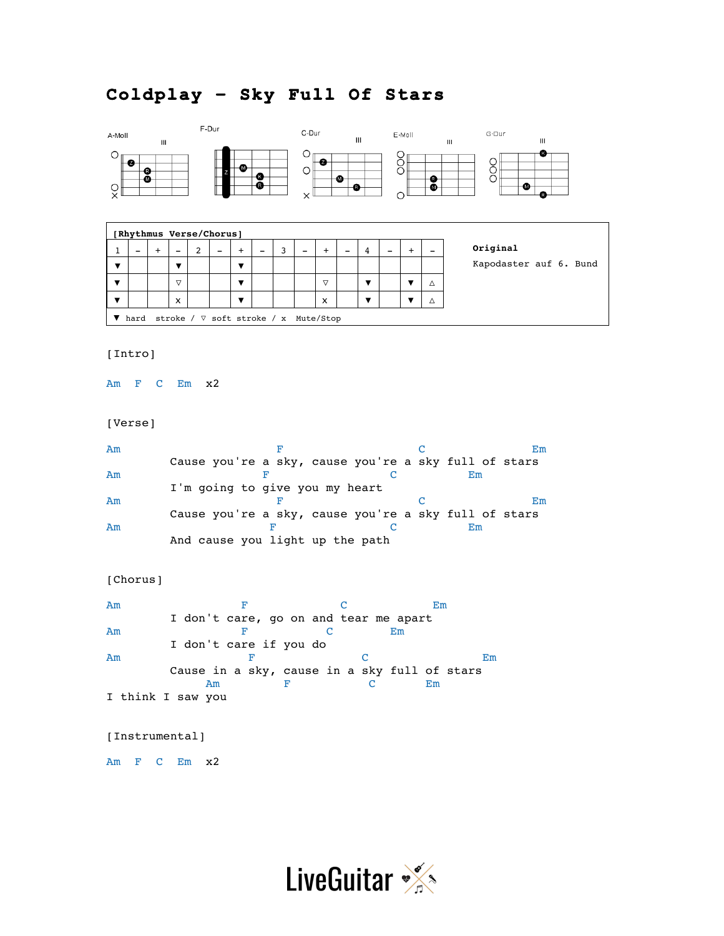## **Coldplay – Sky Full Of Stars**



|                                              | [Rhythmus Verse/Chorus] |   |                 |   |  |                |                          |  |                          |                 |   |                          |   |                        |
|----------------------------------------------|-------------------------|---|-----------------|---|--|----------------|--------------------------|--|--------------------------|-----------------|---|--------------------------|---|------------------------|
|                                              | -                       | ÷ |                 | າ |  |                | $\overline{\phantom{0}}$ |  | $\overline{\phantom{a}}$ | $\div$          | 4 | $\overline{\phantom{0}}$ |   | Original               |
|                                              |                         |   |                 |   |  | $\blacksquare$ |                          |  |                          |                 |   |                          |   | Kapodaster auf 6. Bund |
|                                              |                         |   | $\triangledown$ |   |  | ▼              |                          |  |                          | $\triangledown$ |   |                          | Δ |                        |
|                                              |                         |   | X               |   |  | ▼              |                          |  |                          | x               |   |                          | Λ |                        |
| stroke / ∇ soft stroke / x Mute/Stop<br>hard |                         |   |                 |   |  |                |                          |  |                          |                 |   |                          |   |                        |

## [Intro]

Am F C Em x2

## [Verse]

| Am |                                                      |  |  |  |  |    | Em |
|----|------------------------------------------------------|--|--|--|--|----|----|
|    | Cause you're a sky, cause you're a sky full of stars |  |  |  |  |    |    |
| Am |                                                      |  |  |  |  | Em |    |
|    | I'm going to give you my heart                       |  |  |  |  |    |    |
| Am |                                                      |  |  |  |  |    | Em |
|    | Cause you're a sky, cause you're a sky full of stars |  |  |  |  |    |    |
| Am |                                                      |  |  |  |  | Em |    |
|    | And cause you light up the path                      |  |  |  |  |    |    |

```
[Chorus]
```

| Am |                                              | Em |
|----|----------------------------------------------|----|
|    | I don't care, go on and tear me apart        |    |
| Am |                                              | Em |
|    | I don't care if you do                       |    |
| Am |                                              | Em |
|    | Cause in a sky, cause in a sky full of stars |    |
|    | Am                                           | Em |
|    | I think I saw you                            |    |

## [Instrumental]

Am F C Em x2